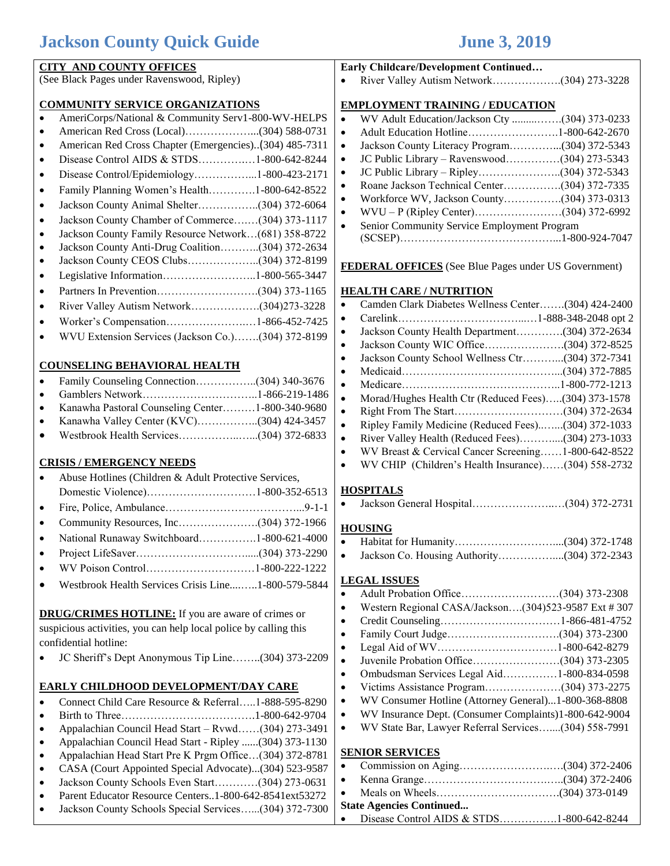## **Jackson County Quick Guide June 3, 2019**

| <b>CITY AND COUNTY OFFICES</b>                                                                                                            | Early Childcare/Development Continued                                          |
|-------------------------------------------------------------------------------------------------------------------------------------------|--------------------------------------------------------------------------------|
| (See Black Pages under Ravenswood, Ripley)                                                                                                |                                                                                |
| <b>COMMUNITY SERVICE ORGANIZATIONS</b>                                                                                                    | <b>EMPLOYMENT TRAINING / EDUCATION</b>                                         |
| AmeriCorps/National & Community Serv1-800-WV-HELPS                                                                                        | WV Adult Education/Jackson Cty (304) 373-0233<br>$\bullet$                     |
| $\bullet$                                                                                                                                 | $\bullet$                                                                      |
| American Red Cross Chapter (Emergencies)(304) 485-7311<br>$\bullet$                                                                       | Jackson County Literacy Program(304) 372-5343<br>$\bullet$                     |
| Disease Control AIDS & STDS1-800-642-8244<br>$\bullet$                                                                                    | JC Public Library - Ravenswood(304) 273-5343<br>$\bullet$                      |
| Disease Control/Epidemiology1-800-423-2171<br>$\bullet$                                                                                   | $\bullet$                                                                      |
| Family Planning Women's Health1-800-642-8522<br>$\bullet$                                                                                 | Roane Jackson Technical Center(304) 372-7335<br>$\bullet$                      |
| Jackson County Animal Shelter(304) 372-6064<br>$\bullet$                                                                                  | Workforce WV, Jackson County(304) 373-0313<br>$\bullet$                        |
| Jackson County Chamber of Commerce(304) 373-1117<br>$\bullet$                                                                             | $\bullet$                                                                      |
| Jackson County Family Resource Network(681) 358-8722<br>$\bullet$                                                                         | Senior Community Service Employment Program<br>$\bullet$                       |
| Jackson County Anti-Drug Coalition(304) 372-2634<br>$\bullet$                                                                             |                                                                                |
| Jackson County CEOS Clubs(304) 372-8199<br>$\bullet$                                                                                      | <b>FEDERAL OFFICES</b> (See Blue Pages under US Government)                    |
| Legislative Information1-800-565-3447<br>$\bullet$                                                                                        |                                                                                |
| $\bullet$                                                                                                                                 | <b>HEALTH CARE / NUTRITION</b>                                                 |
| River Valley Autism Network(304)273-3228<br>$\bullet$                                                                                     | Camden Clark Diabetes Wellness Center(304) 424-2400<br>$\bullet$               |
| Worker's Compensation1-866-452-7425<br>$\bullet$                                                                                          | $\bullet$                                                                      |
| WVU Extension Services (Jackson Co.)(304) 372-8199                                                                                        | Jackson County Health Department(304) 372-2634<br>$\bullet$                    |
|                                                                                                                                           | $\bullet$                                                                      |
| <b>COUNSELING BEHAVIORAL HEALTH</b>                                                                                                       | Jackson County School Wellness Ctr(304) 372-7341<br>$\bullet$                  |
| Family Counseling Connection(304) 340-3676                                                                                                | $\bullet$                                                                      |
| $\bullet$                                                                                                                                 | $\bullet$<br>Morad/Hughes Health Ctr (Reduced Fees)(304) 373-1578<br>$\bullet$ |
| Kanawha Pastoral Counseling Center1-800-340-9680<br>$\bullet$                                                                             | $\bullet$                                                                      |
| Kanawha Valley Center (KVC)(304) 424-3457<br>$\bullet$                                                                                    | Ripley Family Medicine (Reduced Fees)(304) 372-1033<br>$\bullet$               |
|                                                                                                                                           | River Valley Health (Reduced Fees)(304) 273-1033<br>$\bullet$                  |
|                                                                                                                                           | WV Breast & Cervical Cancer Screening1-800-642-8522<br>$\bullet$               |
| <b>CRISIS / EMERGENCY NEEDS</b>                                                                                                           | WV CHIP (Children's Health Insurance)(304) 558-2732                            |
| Abuse Hotlines (Children & Adult Protective Services,                                                                                     |                                                                                |
|                                                                                                                                           | <b>HOSPITALS</b>                                                               |
| $\bullet$                                                                                                                                 | $\bullet$                                                                      |
| $\bullet$                                                                                                                                 | <b>HOUSING</b>                                                                 |
| National Runaway Switchboard1-800-621-4000                                                                                                |                                                                                |
|                                                                                                                                           | Jackson Co. Housing Authority(304) 372-2343<br>$\bullet$                       |
|                                                                                                                                           |                                                                                |
| Westbrook Health Services Crisis Line1-800-579-5844                                                                                       | <b>LEGAL ISSUES</b>                                                            |
|                                                                                                                                           | $\bullet$<br>Western Regional CASA/Jackson(304)523-9587 Ext #307               |
| <b>DRUG/CRIMES HOTLINE:</b> If you are aware of crimes or                                                                                 | $\bullet$<br>$\bullet$                                                         |
| suspicious activities, you can help local police by calling this                                                                          | $\bullet$                                                                      |
| confidential hotline:                                                                                                                     | $\bullet$                                                                      |
| JC Sheriff's Dept Anonymous Tip Line(304) 373-2209                                                                                        | $\bullet$                                                                      |
|                                                                                                                                           | Ombudsman Services Legal Aid1-800-834-0598<br>$\bullet$                        |
| EARLY CHILDHOOD DEVELOPMENT/DAY CARE                                                                                                      | $\bullet$                                                                      |
| Connect Child Care Resource & Referral1-888-595-8290<br>$\bullet$                                                                         | WV Consumer Hotline (Attorney General)1-800-368-8808<br>$\bullet$              |
| $\bullet$                                                                                                                                 | WV Insurance Dept. (Consumer Complaints)1-800-642-9004<br>$\bullet$            |
| Appalachian Council Head Start - Rvwd(304) 273-3491<br>٠                                                                                  | WV State Bar, Lawyer Referral Services(304) 558-7991<br>$\bullet$              |
| Appalachian Council Head Start - Ripley (304) 373-1130<br>$\bullet$                                                                       | <b>SENIOR SERVICES</b>                                                         |
| Appalachian Head Start Pre K Prgm Office(304) 372-8781<br>$\bullet$<br>CASA (Court Appointed Special Advocate)(304) 523-9587<br>$\bullet$ | $\bullet$                                                                      |
| Jackson County Schools Even Start(304) 273-0631<br>$\bullet$                                                                              | $\bullet$                                                                      |
| Parent Educator Resource Centers1-800-642-8541ext53272<br>$\bullet$                                                                       | $\bullet$                                                                      |
| Jackson County Schools Special Services(304) 372-7300<br>$\bullet$                                                                        | <b>State Agencies Continued</b>                                                |
|                                                                                                                                           | Disease Control AIDS & STDS1-800-642-8244<br>$\bullet$                         |